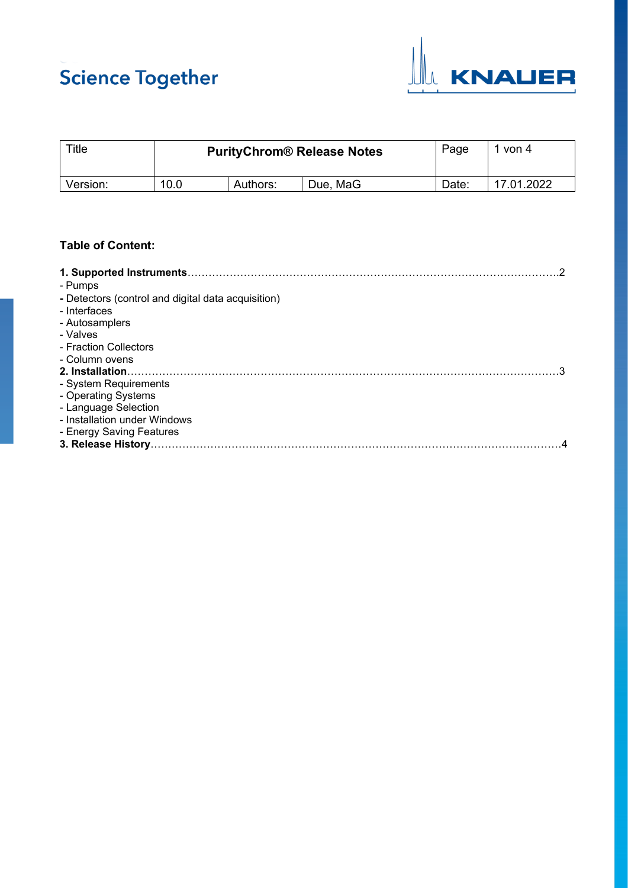# **Science Together**



| Title    | <b>PurityChrom® Release Notes</b> |          |          | Page  | von 4      |
|----------|-----------------------------------|----------|----------|-------|------------|
| Version: | 10.0                              | Authors: | Due, MaG | Date: | 17.01.2022 |

# **Table of Content:**

| - Pumps                                            |
|----------------------------------------------------|
| - Detectors (control and digital data acquisition) |
| - Interfaces                                       |
| - Autosamplers                                     |
| - Valves                                           |
| - Fraction Collectors                              |
| - Column ovens                                     |
| 2. Installation.                                   |
| - System Requirements                              |
| - Operating Systems                                |
| - Language Selection                               |
| - Installation under Windows                       |
| - Energy Saving Features                           |
|                                                    |
|                                                    |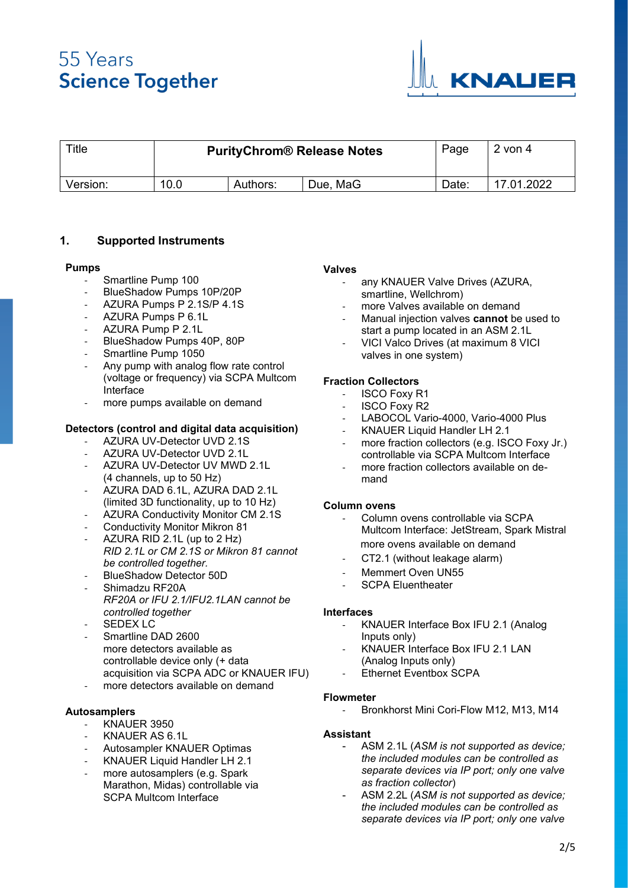

| Title    | <b>PurityChrom® Release Notes</b> |          |          | Page  | $2$ von 4  |
|----------|-----------------------------------|----------|----------|-------|------------|
| Version: | 10.0                              | Authors: | Due, MaG | Date: | 17.01.2022 |

# **1. Supported Instruments**

#### **Pumps**

- Smartline Pump 100
- BlueShadow Pumps 10P/20P
- AZURA Pumps P 2.1S/P 4.1S
- AZURA Pumps P 6.1L
- AZURA Pump P 2.1L
- BlueShadow Pumps 40P, 80P
- Smartline Pump 1050
- Any pump with analog flow rate control (voltage or frequency) via SCPA Multcom Interface
- more pumps available on demand

#### **Detectors (control and digital data acquisition)**

- AZURA UV-Detector UVD 2.1S
- AZURA UV-Detector UVD 2.1L
- AZURA UV-Detector UV MWD 2.1L (4 channels, up to 50 Hz)
- AZURA DAD 6.1L, AZURA DAD 2.1L (limited 3D functionality, up to 10 Hz)
- AZURA Conductivity Monitor CM 2.1S
- Conductivity Monitor Mikron 81
- AZURA RID 2.1L (up to 2 Hz) *RID 2.1L or CM 2.1S or Mikron 81 cannot be controlled together.*
- BlueShadow Detector 50D
- Shimadzu RF20A *RF20A or IFU 2.1/IFU2.1LAN cannot be controlled together*
- SEDEX LC
- Smartline DAD 2600 more detectors available as controllable device only (+ data acquisition via SCPA ADC or KNAUER IFU) more detectors available on demand
- 

## **Autosamplers**

- KNAUER 3950
- KNAUER AS 6.1L
- Autosampler KNAUER Optimas
- KNAUER Liquid Handler LH 2.1
- more autosamplers (e.g. Spark Marathon, Midas) controllable via SCPA Multcom Interface

#### **Valves**

- any KNAUER Valve Drives (AZURA, smartline, Wellchrom)
- more Valves available on demand
- Manual injection valves **cannot** be used to start a pump located in an ASM 2.1L
- VICI Valco Drives (at maximum 8 VICI valves in one system)

#### **Fraction Collectors**

- **ISCO Foxy R1**
- **ISCO Foxy R2**
- LABOCOL Vario-4000, Vario-4000 Plus
- KNAUER Liquid Handler LH 2.1
- more fraction collectors (e.g. ISCO Foxy Jr.) controllable via SCPA Multcom Interface
- more fraction collectors available on demand

#### **Column ovens**

- Column ovens controllable via SCPA Multcom Interface: JetStream, Spark Mistral more ovens available on demand
- CT2.1 (without leakage alarm)
- Memmert Oven UN55
- SCPA Eluentheater

#### **Interfaces**

- KNAUER Interface Box IFU 2.1 (Analog Inputs only)
- KNAUER Interface Box IFU 2.1 LAN (Analog Inputs only)
- Ethernet Eventbox SCPA

#### **Flowmeter**

Bronkhorst Mini Cori-Flow M12, M13, M14

## **Assistant**

- ASM 2.1L (*ASM is not supported as device; the included modules can be controlled as separate devices via IP port; only one valve as fraction collector*)
- ASM 2.2L (*ASM is not supported as device; the included modules can be controlled as separate devices via IP port; only one valve*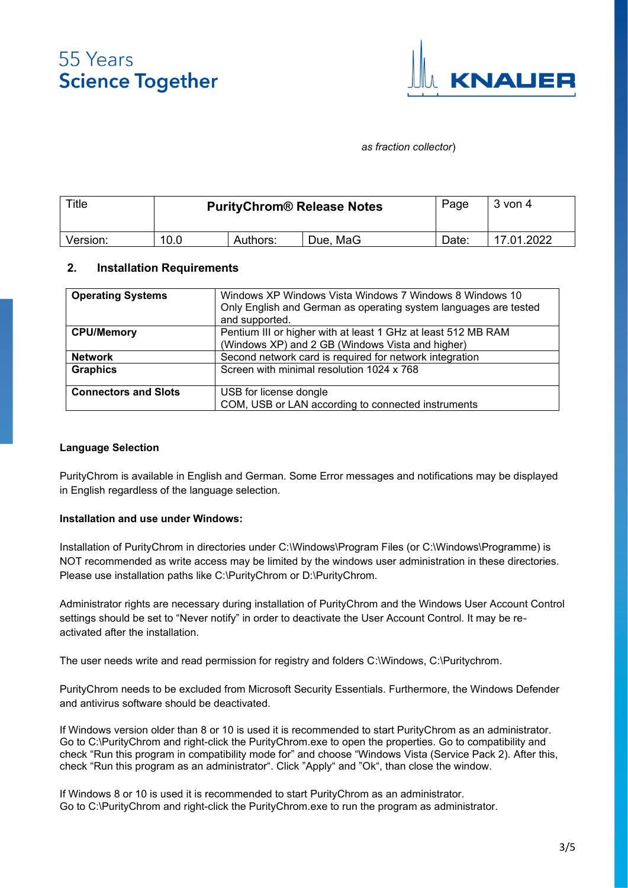

### *as fraction collector*)

| $T$ itle |      | Page<br><b>PurityChrom® Release Notes</b> |          |       | $3$ von 4  |
|----------|------|-------------------------------------------|----------|-------|------------|
| Version: | 10.0 | Authors:                                  | Due, MaG | Date: | 17.01.2022 |

## **2. Installation Requirements**

| <b>Operating Systems</b>    | Windows XP Windows Vista Windows 7 Windows 8 Windows 10<br>Only English and German as operating system languages are tested<br>and supported. |
|-----------------------------|-----------------------------------------------------------------------------------------------------------------------------------------------|
| <b>CPU/Memory</b>           | Pentium III or higher with at least 1 GHz at least 512 MB RAM<br>(Windows XP) and 2 GB (Windows Vista and higher)                             |
| <b>Network</b>              | Second network card is required for network integration                                                                                       |
| <b>Graphics</b>             | Screen with minimal resolution 1024 x 768                                                                                                     |
| <b>Connectors and Slots</b> | USB for license dongle                                                                                                                        |
|                             | COM, USB or LAN according to connected instruments                                                                                            |

### **Language Selection**

PurityChrom is available in English and German. Some Error messages and notifications may be displayed in English regardless of the language selection.

#### **Installation and use under Windows:**

Installation of PurityChrom in directories under C:\Windows\Program Files (or C:\Windows\Programme) is NOT recommended as write access may be limited by the windows user administration in these directories. Please use installation paths like C:\PurityChrom or D:\PurityChrom.

Administrator rights are necessary during installation of PurityChrom and the Windows User Account Control settings should be set to "Never notify" in order to deactivate the User Account Control. It may be reactivated after the installation.

The user needs write and read permission for registry and folders C:\Windows, C:\Puritychrom.

PurityChrom needs to be excluded from Microsoft Security Essentials. Furthermore, the Windows Defender and antivirus software should be deactivated.

If Windows version older than 8 or 10 is used it is recommended to start PurityChrom as an administrator. Go to C:\PurityChrom and right-click the PurityChrom.exe to open the properties. Go to compatibility and check "Run this program in compatibility mode for" and choose "Windows Vista (Service Pack 2). After this, check "Run this program as an administrator". Click "Apply" and "Ok", than close the window.

If Windows 8 or 10 is used it is recommended to start PurityChrom as an administrator. Go to C:\PurityChrom and right-click the PurityChrom.exe to run the program as administrator.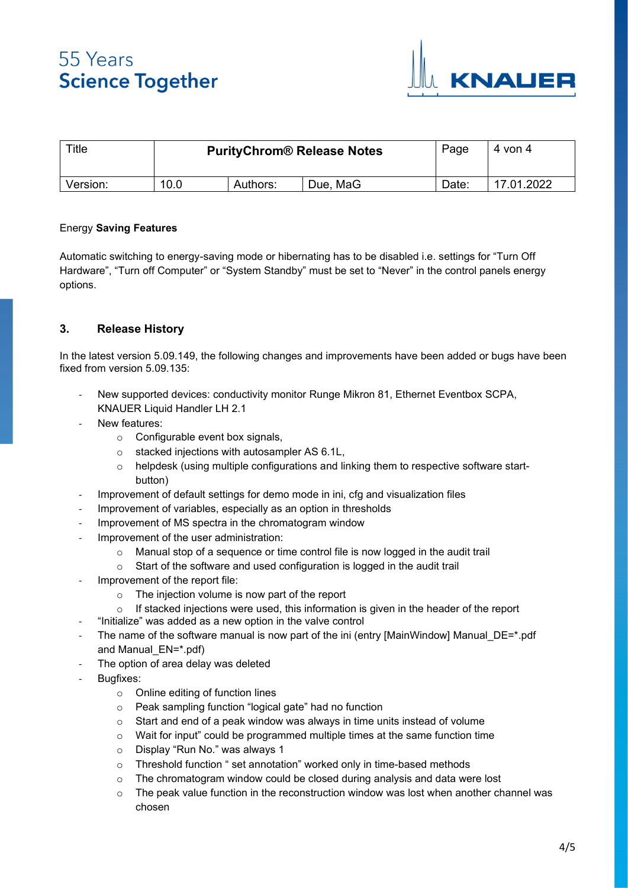

| Title    | <b>PurityChrom® Release Notes</b> |          |          | Page  | 4 von 4    |
|----------|-----------------------------------|----------|----------|-------|------------|
| Version: | 10.0                              | Authors: | Due, MaG | วate: | 17.01.2022 |

## Energy **Saving Features**

Automatic switching to energy-saving mode or hibernating has to be disabled i.e. settings for "Turn Off Hardware", "Turn off Computer" or "System Standby" must be set to "Never" in the control panels energy options.

# **3. Release History**

In the latest version 5.09.149, the following changes and improvements have been added or bugs have been fixed from version 5.09.135:

- New supported devices: conductivity monitor Runge Mikron 81, Ethernet Eventbox SCPA, KNAUER Liquid Handler LH 2.1
- New features:
	- o Configurable event box signals,
	- o stacked injections with autosampler AS 6.1L,
	- o helpdesk (using multiple configurations and linking them to respective software startbutton)
- Improvement of default settings for demo mode in ini, cfg and visualization files
- Improvement of variables, especially as an option in thresholds
- Improvement of MS spectra in the chromatogram window
- Improvement of the user administration:
	- o Manual stop of a sequence or time control file is now logged in the audit trail
	- o Start of the software and used configuration is logged in the audit trail
- Improvement of the report file:
	- $\circ$  The injection volume is now part of the report
	- If stacked injections were used, this information is given in the header of the report
	- "Initialize" was added as a new option in the valve control
- The name of the software manual is now part of the ini (entry [MainWindow] Manual DE=\*.pdf and Manual\_EN=\*.pdf)
	- The option of area delay was deleted
- Bugfixes:
	- o Online editing of function lines
	- o Peak sampling function "logical gate" had no function
	- o Start and end of a peak window was always in time units instead of volume
	- o Wait for input" could be programmed multiple times at the same function time
	- o Display "Run No." was always 1
	- o Threshold function " set annotation" worked only in time-based methods
	- o The chromatogram window could be closed during analysis and data were lost
	- The peak value function in the reconstruction window was lost when another channel was chosen